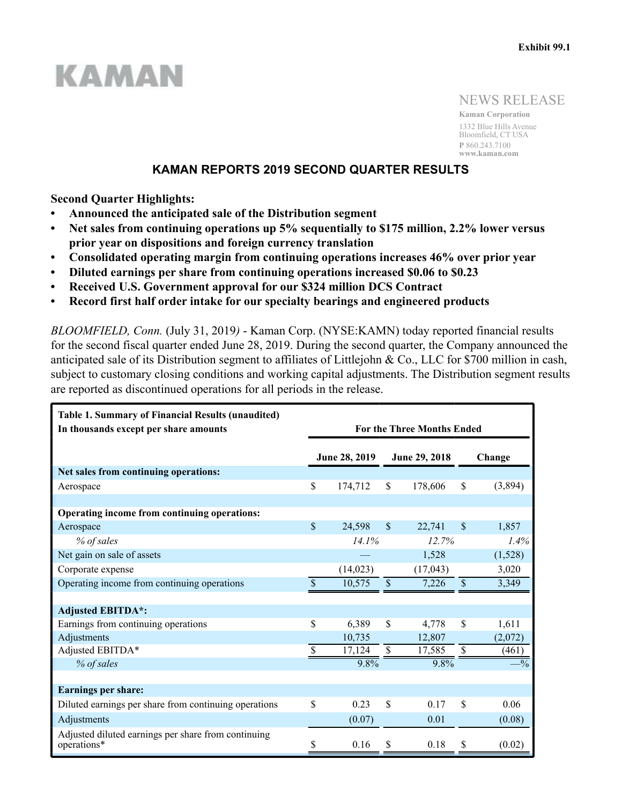# KAMAN

NEWS RELEASE

**Kaman Corporation** 1332 Blue Hills Avenue Bloomfield, CT USA **P** 860.243.7100 **www.kaman.com**

# **KAMAN REPORTS 2019 SECOND QUARTER RESULTS**

**Second Quarter Highlights:**

- **Announced the anticipated sale of the Distribution segment**
- **Net sales from continuing operations up 5% sequentially to \$175 million, 2.2% lower versus prior year on dispositions and foreign currency translation**
- **Consolidated operating margin from continuing operations increases 46% over prior year**
- **Diluted earnings per share from continuing operations increased \$0.06 to \$0.23**
- **Received U.S. Government approval for our \$324 million DCS Contract**
- **Record first half order intake for our specialty bearings and engineered products**

*BLOOMFIELD, Conn.* (July 31, 2019*)* - Kaman Corp. (NYSE:KAMN) today reported financial results for the second fiscal quarter ended June 28, 2019. During the second quarter, the Company announced the anticipated sale of its Distribution segment to affiliates of Littlejohn & Co., LLC for \$700 million in cash, subject to customary closing conditions and working capital adjustments. The Distribution segment results are reported as discontinued operations for all periods in the release.

| <b>Table 1. Summary of Financial Results (unaudited)</b><br>In thousands except per share amounts |                           |               |                           | <b>For the Three Months Ended</b> |                           |                |    |         |
|---------------------------------------------------------------------------------------------------|---------------------------|---------------|---------------------------|-----------------------------------|---------------------------|----------------|----|---------|
|                                                                                                   |                           | June 28, 2019 |                           | June 29, 2018                     |                           | Change         |    |         |
| Net sales from continuing operations:                                                             |                           |               |                           |                                   |                           |                |    |         |
| Aerospace                                                                                         | \$                        | 174,712<br>\$ |                           |                                   |                           | 178,606        | \$ | (3,894) |
|                                                                                                   |                           |               |                           |                                   |                           |                |    |         |
| Operating income from continuing operations:                                                      |                           |               |                           |                                   |                           |                |    |         |
| Aerospace                                                                                         | $\boldsymbol{\mathsf{S}}$ | 24,598        | $\boldsymbol{\mathsf{S}}$ | 22,741                            | $\boldsymbol{\mathsf{S}}$ | 1,857          |    |         |
| % of sales                                                                                        |                           | 14.1%         |                           | 12.7%                             |                           | 1.4%           |    |         |
| Net gain on sale of assets                                                                        |                           |               |                           | 1,528                             |                           | (1,528)        |    |         |
| Corporate expense                                                                                 |                           | (14, 023)     |                           | (17, 043)                         |                           | 3,020          |    |         |
| Operating income from continuing operations                                                       | \$                        | 10,575        | $\$$<br>7,226             |                                   | \$                        | 3,349          |    |         |
|                                                                                                   |                           |               |                           |                                   |                           |                |    |         |
| <b>Adjusted EBITDA*:</b>                                                                          |                           |               |                           |                                   |                           |                |    |         |
| Earnings from continuing operations                                                               | \$                        | 6,389         | \$                        | 4,778                             | \$                        | 1,611          |    |         |
| Adjustments                                                                                       |                           | 10,735        |                           | 12,807                            |                           | (2,072)        |    |         |
| Adjusted EBITDA*                                                                                  | \$                        | 17,124        | \$                        | 17,585                            | $\boldsymbol{\mathsf{S}}$ | (461)          |    |         |
| % of sales                                                                                        |                           | 9.8%          |                           | $9.8\%$                           |                           | $-\frac{0}{6}$ |    |         |
|                                                                                                   |                           |               |                           |                                   |                           |                |    |         |
| <b>Earnings per share:</b>                                                                        |                           |               |                           |                                   |                           |                |    |         |
| Diluted earnings per share from continuing operations                                             | \$                        | 0.23          | \$                        | 0.17                              | \$                        | 0.06           |    |         |
| Adjustments                                                                                       |                           | (0.07)        |                           | 0.01                              |                           | (0.08)         |    |         |
| Adjusted diluted earnings per share from continuing<br>operations*                                | \$                        | 0.16          | S                         | 0.18                              | S                         | (0.02)         |    |         |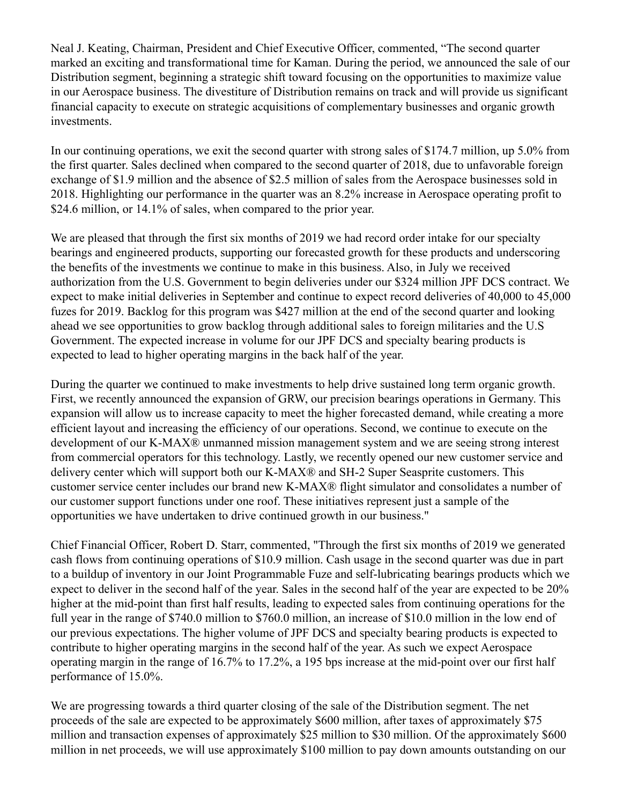Neal J. Keating, Chairman, President and Chief Executive Officer, commented, "The second quarter marked an exciting and transformational time for Kaman. During the period, we announced the sale of our Distribution segment, beginning a strategic shift toward focusing on the opportunities to maximize value in our Aerospace business. The divestiture of Distribution remains on track and will provide us significant financial capacity to execute on strategic acquisitions of complementary businesses and organic growth investments.

In our continuing operations, we exit the second quarter with strong sales of \$174.7 million, up 5.0% from the first quarter. Sales declined when compared to the second quarter of 2018, due to unfavorable foreign exchange of \$1.9 million and the absence of \$2.5 million of sales from the Aerospace businesses sold in 2018. Highlighting our performance in the quarter was an 8.2% increase in Aerospace operating profit to \$24.6 million, or 14.1% of sales, when compared to the prior year.

We are pleased that through the first six months of 2019 we had record order intake for our specialty bearings and engineered products, supporting our forecasted growth for these products and underscoring the benefits of the investments we continue to make in this business. Also, in July we received authorization from the U.S. Government to begin deliveries under our \$324 million JPF DCS contract. We expect to make initial deliveries in September and continue to expect record deliveries of 40,000 to 45,000 fuzes for 2019. Backlog for this program was \$427 million at the end of the second quarter and looking ahead we see opportunities to grow backlog through additional sales to foreign militaries and the U.S Government. The expected increase in volume for our JPF DCS and specialty bearing products is expected to lead to higher operating margins in the back half of the year.

During the quarter we continued to make investments to help drive sustained long term organic growth. First, we recently announced the expansion of GRW, our precision bearings operations in Germany. This expansion will allow us to increase capacity to meet the higher forecasted demand, while creating a more efficient layout and increasing the efficiency of our operations. Second, we continue to execute on the development of our K-MAX® unmanned mission management system and we are seeing strong interest from commercial operators for this technology. Lastly, we recently opened our new customer service and delivery center which will support both our K-MAX® and SH-2 Super Seasprite customers. This customer service center includes our brand new K-MAX® flight simulator and consolidates a number of our customer support functions under one roof. These initiatives represent just a sample of the opportunities we have undertaken to drive continued growth in our business."

Chief Financial Officer, Robert D. Starr, commented, "Through the first six months of 2019 we generated cash flows from continuing operations of \$10.9 million. Cash usage in the second quarter was due in part to a buildup of inventory in our Joint Programmable Fuze and self-lubricating bearings products which we expect to deliver in the second half of the year. Sales in the second half of the year are expected to be 20% higher at the mid-point than first half results, leading to expected sales from continuing operations for the full year in the range of \$740.0 million to \$760.0 million, an increase of \$10.0 million in the low end of our previous expectations. The higher volume of JPF DCS and specialty bearing products is expected to contribute to higher operating margins in the second half of the year. As such we expect Aerospace operating margin in the range of 16.7% to 17.2%, a 195 bps increase at the mid-point over our first half performance of 15.0%.

We are progressing towards a third quarter closing of the sale of the Distribution segment. The net proceeds of the sale are expected to be approximately \$600 million, after taxes of approximately \$75 million and transaction expenses of approximately \$25 million to \$30 million. Of the approximately \$600 million in net proceeds, we will use approximately \$100 million to pay down amounts outstanding on our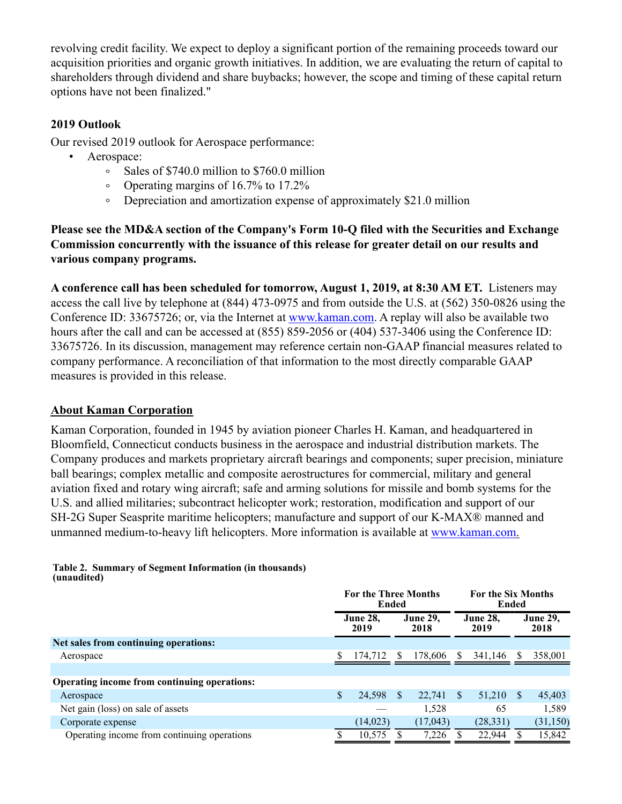revolving credit facility. We expect to deploy a significant portion of the remaining proceeds toward our acquisition priorities and organic growth initiatives. In addition, we are evaluating the return of capital to shareholders through dividend and share buybacks; however, the scope and timing of these capital return options have not been finalized."

# **2019 Outlook**

Our revised 2019 outlook for Aerospace performance:

- Aerospace:
	- $\circ$ Sales of \$740.0 million to \$760.0 million
	- Operating margins of 16.7% to 17.2%  $\circ$
	- Depreciation and amortization expense of approximately \$21.0 million  $\circ$

**Please see the MD&A section of the Company's Form 10-Q filed with the Securities and Exchange Commission concurrently with the issuance of this release for greater detail on our results and various company programs.**

**A conference call has been scheduled for tomorrow, August 1, 2019, at 8:30 AM ET.** Listeners may access the call live by telephone at (844) 473-0975 and from outside the U.S. at (562) 350-0826 using the Conference ID: 33675726; or, via the Internet at www.kaman.com. A replay will also be available two hours after the call and can be accessed at (855) 859-2056 or (404) 537-3406 using the Conference ID: 33675726. In its discussion, management may reference certain non-GAAP financial measures related to company performance. A reconciliation of that information to the most directly comparable GAAP measures is provided in this release.

# **About Kaman Corporation**

Kaman Corporation, founded in 1945 by aviation pioneer Charles H. Kaman, and headquartered in Bloomfield, Connecticut conducts business in the aerospace and industrial distribution markets. The Company produces and markets proprietary aircraft bearings and components; super precision, miniature ball bearings; complex metallic and composite aerostructures for commercial, military and general aviation fixed and rotary wing aircraft; safe and arming solutions for missile and bomb systems for the U.S. and allied militaries; subcontract helicopter work; restoration, modification and support of our SH-2G Super Seasprite maritime helicopters; manufacture and support of our K-MAX® manned and unmanned medium-to-heavy lift helicopters. More information is available at www.kaman.com.

#### **Table 2. Summary of Segment Information (in thousands) (unaudited)**

|                                              | <b>For the Three Months</b><br>Ended |                         |    |                         |    | <b>For the Six Months</b><br>Ended |          |           |  |  |  |  |  |                         |
|----------------------------------------------|--------------------------------------|-------------------------|----|-------------------------|----|------------------------------------|----------|-----------|--|--|--|--|--|-------------------------|
|                                              |                                      | <b>June 28.</b><br>2019 |    | <b>June 29,</b><br>2018 |    | <b>June 28,</b><br>2019            |          |           |  |  |  |  |  | <b>June 29,</b><br>2018 |
| Net sales from continuing operations:        |                                      |                         |    |                         |    |                                    |          |           |  |  |  |  |  |                         |
| Aerospace                                    |                                      | 174,712                 | S. | 178,606                 |    | 341,146                            | -S       | 358,001   |  |  |  |  |  |                         |
|                                              |                                      |                         |    |                         |    |                                    |          |           |  |  |  |  |  |                         |
| Operating income from continuing operations: |                                      |                         |    |                         |    |                                    |          |           |  |  |  |  |  |                         |
| Aerospace                                    | \$                                   | 24,598                  | \$ | 22,741                  | -S | 51,210                             | <b>S</b> | 45,403    |  |  |  |  |  |                         |
| Net gain (loss) on sale of assets            |                                      |                         |    | 1,528                   |    | 65                                 |          | 1,589     |  |  |  |  |  |                         |
| Corporate expense                            |                                      | (14, 023)               |    | (17,043)                |    | (28, 331)                          |          | (31, 150) |  |  |  |  |  |                         |
| Operating income from continuing operations  |                                      | 10,575                  |    | 7,226                   |    | 22,944                             |          | 15,842    |  |  |  |  |  |                         |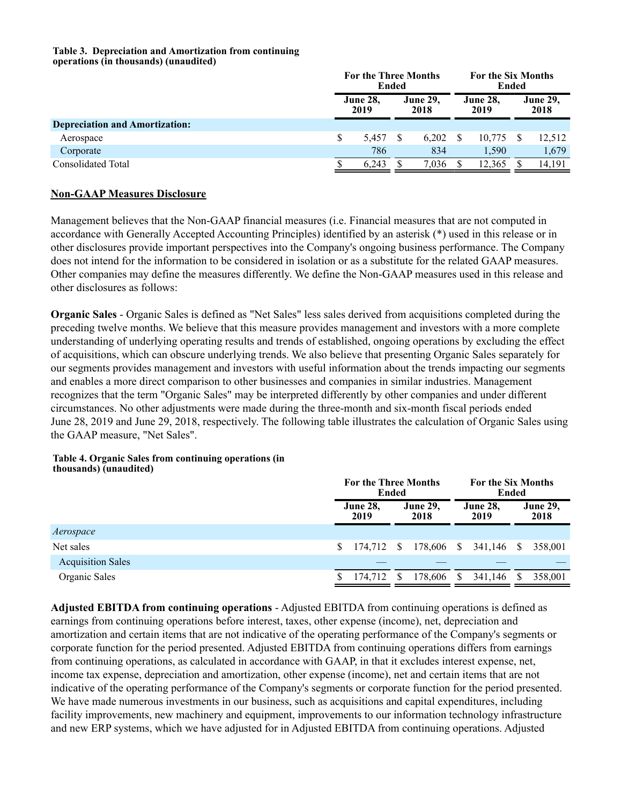#### **Table 3. Depreciation and Amortization from continuing operations (in thousands) (unaudited)**

|                                       | <b>For the Three Months</b><br>Ended |       |  |       |                         | <b>For the Six Months</b><br>Ended |                         |        |  |                         |
|---------------------------------------|--------------------------------------|-------|--|-------|-------------------------|------------------------------------|-------------------------|--------|--|-------------------------|
|                                       | <b>June 28,</b><br>2019              |       |  |       | <b>June 29.</b><br>2018 |                                    | <b>June 28,</b><br>2019 |        |  | <b>June 29,</b><br>2018 |
| <b>Depreciation and Amortization:</b> |                                      |       |  |       |                         |                                    |                         |        |  |                         |
| Aerospace                             | S                                    | 5.457 |  | 6.202 |                         | 10.775                             |                         | 12,512 |  |                         |
| Corporate                             |                                      | 786   |  | 834   |                         | 1.590                              |                         | 1,679  |  |                         |
| Consolidated Total                    |                                      | 6.243 |  | 7.036 |                         | 12,365                             |                         | 14,191 |  |                         |

## **Non-GAAP Measures Disclosure**

Management believes that the Non-GAAP financial measures (i.e. Financial measures that are not computed in accordance with Generally Accepted Accounting Principles) identified by an asterisk (\*) used in this release or in other disclosures provide important perspectives into the Company's ongoing business performance. The Company does not intend for the information to be considered in isolation or as a substitute for the related GAAP measures. Other companies may define the measures differently. We define the Non-GAAP measures used in this release and other disclosures as follows:

**Organic Sales** - Organic Sales is defined as "Net Sales" less sales derived from acquisitions completed during the preceding twelve months. We believe that this measure provides management and investors with a more complete understanding of underlying operating results and trends of established, ongoing operations by excluding the effect of acquisitions, which can obscure underlying trends. We also believe that presenting Organic Sales separately for our segments provides management and investors with useful information about the trends impacting our segments and enables a more direct comparison to other businesses and companies in similar industries. Management recognizes that the term "Organic Sales" may be interpreted differently by other companies and under different circumstances. No other adjustments were made during the three-month and six-month fiscal periods ended June 28, 2019 and June 29, 2018, respectively. The following table illustrates the calculation of Organic Sales using the GAAP measure, "Net Sales".

#### **Table 4. Organic Sales from continuing operations (in thousands) (unaudited)**

|                         |         |                         | For the Six Months<br>Ended |                                                    |            |     |                         |  |
|-------------------------|---------|-------------------------|-----------------------------|----------------------------------------------------|------------|-----|-------------------------|--|
| <b>June 28,</b><br>2019 |         | <b>June 29,</b><br>2018 |                             | <b>June 28,</b><br>2019                            |            |     | <b>June 29,</b><br>2018 |  |
|                         |         |                         |                             |                                                    |            |     |                         |  |
| S.                      |         |                         |                             |                                                    |            | - S | 358,001                 |  |
|                         |         |                         |                             |                                                    |            |     |                         |  |
|                         | 174.712 | S.                      | 178,606                     | <sup>S</sup>                                       | 341,146    | S   | 358,001                 |  |
|                         |         |                         |                             | <b>For the Three Months</b><br>Ended<br>174,712 \$ | 178,606 \$ |     | 341,146                 |  |

**Adjusted EBITDA from continuing operations** - Adjusted EBITDA from continuing operations is defined as earnings from continuing operations before interest, taxes, other expense (income), net, depreciation and amortization and certain items that are not indicative of the operating performance of the Company's segments or corporate function for the period presented. Adjusted EBITDA from continuing operations differs from earnings from continuing operations, as calculated in accordance with GAAP, in that it excludes interest expense, net, income tax expense, depreciation and amortization, other expense (income), net and certain items that are not indicative of the operating performance of the Company's segments or corporate function for the period presented. We have made numerous investments in our business, such as acquisitions and capital expenditures, including facility improvements, new machinery and equipment, improvements to our information technology infrastructure and new ERP systems, which we have adjusted for in Adjusted EBITDA from continuing operations. Adjusted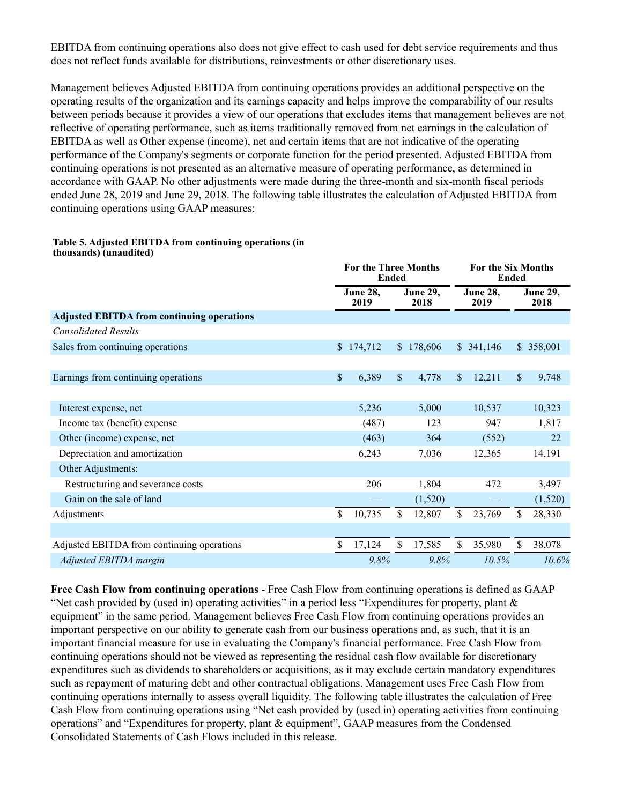EBITDA from continuing operations also does not give effect to cash used for debt service requirements and thus does not reflect funds available for distributions, reinvestments or other discretionary uses.

Management believes Adjusted EBITDA from continuing operations provides an additional perspective on the operating results of the organization and its earnings capacity and helps improve the comparability of our results between periods because it provides a view of our operations that excludes items that management believes are not reflective of operating performance, such as items traditionally removed from net earnings in the calculation of EBITDA as well as Other expense (income), net and certain items that are not indicative of the operating performance of the Company's segments or corporate function for the period presented. Adjusted EBITDA from continuing operations is not presented as an alternative measure of operating performance, as determined in accordance with GAAP. No other adjustments were made during the three-month and six-month fiscal periods ended June 28, 2019 and June 29, 2018. The following table illustrates the calculation of Adjusted EBITDA from continuing operations using GAAP measures:

#### **Table 5. Adjusted EBITDA from continuing operations (in thousands) (unaudited)**

|                                                   |              | <b>For the Three Months</b><br><b>Ended</b> |              |                         |                         | For the Six Months<br><b>Ended</b> |               |                         |
|---------------------------------------------------|--------------|---------------------------------------------|--------------|-------------------------|-------------------------|------------------------------------|---------------|-------------------------|
|                                                   |              | June 28,<br>2019                            |              | <b>June 29,</b><br>2018 | <b>June 28,</b><br>2019 |                                    |               | <b>June 29,</b><br>2018 |
| <b>Adjusted EBITDA from continuing operations</b> |              |                                             |              |                         |                         |                                    |               |                         |
| <b>Consolidated Results</b>                       |              |                                             |              |                         |                         |                                    |               |                         |
| Sales from continuing operations                  | $\mathbb{S}$ | 174,712                                     |              | \$178,606               |                         | \$341,146                          | $\mathbb{S}$  | 358,001                 |
|                                                   |              |                                             |              |                         |                         |                                    |               |                         |
| Earnings from continuing operations               | \$           | 6,389                                       | $\mathbb{S}$ | 4,778                   | $\mathbb{S}$            | 12,211                             | $\mathbf{\$}$ | 9,748                   |
|                                                   |              |                                             |              |                         |                         |                                    |               |                         |
| Interest expense, net                             |              | 5,236                                       |              | 5,000                   |                         | 10,537                             |               | 10,323                  |
| Income tax (benefit) expense                      |              | (487)                                       |              | 123                     |                         | 947                                |               | 1,817                   |
| Other (income) expense, net                       |              | (463)                                       |              | 364                     |                         | (552)                              |               | 22                      |
| Depreciation and amortization                     |              | 6,243                                       |              | 7,036                   |                         | 12,365                             |               | 14,191                  |
| Other Adjustments:                                |              |                                             |              |                         |                         |                                    |               |                         |
| Restructuring and severance costs                 |              | 206                                         |              | 1,804                   |                         | 472                                |               | 3,497                   |
| Gain on the sale of land                          |              |                                             |              | (1,520)                 |                         |                                    |               | (1,520)                 |
| Adjustments                                       | \$           | 10,735                                      | \$           | 12,807                  | \$                      | 23,769                             | S.            | 28,330                  |
|                                                   |              |                                             |              |                         |                         |                                    |               |                         |
| Adjusted EBITDA from continuing operations        | \$           | 17,124                                      | \$           | 17,585                  | \$                      | 35,980                             | \$            | 38,078                  |
| Adjusted EBITDA margin                            |              | 9.8%                                        |              | 9.8%                    |                         | 10.5%                              |               | 10.6%                   |

**Free Cash Flow from continuing operations** - Free Cash Flow from continuing operations is defined as GAAP "Net cash provided by (used in) operating activities" in a period less "Expenditures for property, plant  $\&$ equipment" in the same period. Management believes Free Cash Flow from continuing operations provides an important perspective on our ability to generate cash from our business operations and, as such, that it is an important financial measure for use in evaluating the Company's financial performance. Free Cash Flow from continuing operations should not be viewed as representing the residual cash flow available for discretionary expenditures such as dividends to shareholders or acquisitions, as it may exclude certain mandatory expenditures such as repayment of maturing debt and other contractual obligations. Management uses Free Cash Flow from continuing operations internally to assess overall liquidity. The following table illustrates the calculation of Free Cash Flow from continuing operations using "Net cash provided by (used in) operating activities from continuing operations" and "Expenditures for property, plant & equipment", GAAP measures from the Condensed Consolidated Statements of Cash Flows included in this release.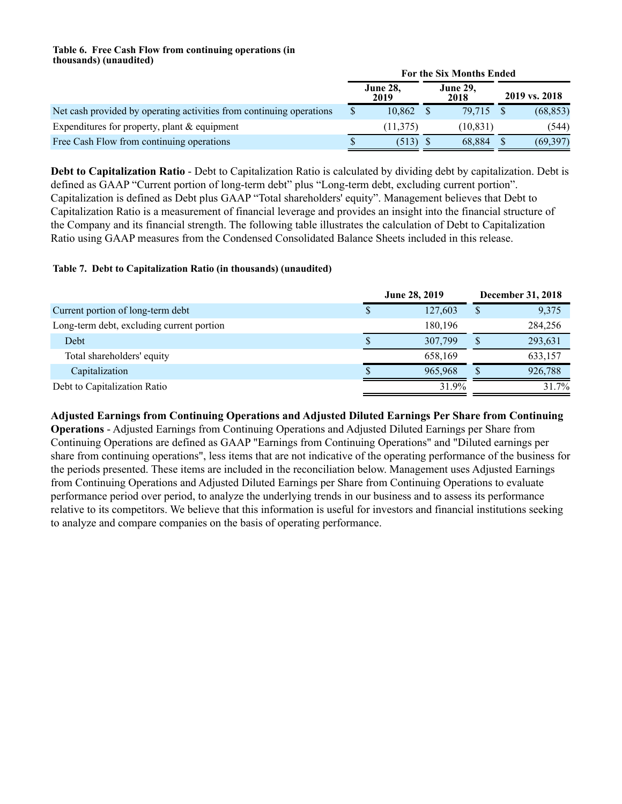### **Table 6. Free Cash Flow from continuing operations (in thousands) (unaudited)**

|                                                                      | For the Six Months Ended |           |  |                         |               |           |  |  |  |
|----------------------------------------------------------------------|--------------------------|-----------|--|-------------------------|---------------|-----------|--|--|--|
|                                                                      | <b>June 28,</b><br>2019  |           |  | <b>June 29,</b><br>2018 | 2019 vs. 2018 |           |  |  |  |
| Net cash provided by operating activities from continuing operations |                          | 10.862    |  | 79.715                  |               | (68, 853) |  |  |  |
| Expenditures for property, plant $&$ equipment                       |                          | (11, 375) |  | (10, 831)               |               | (544)     |  |  |  |
| Free Cash Flow from continuing operations                            |                          | (513)     |  | 68.884                  |               | (69, 397) |  |  |  |

**Debt to Capitalization Ratio** - Debt to Capitalization Ratio is calculated by dividing debt by capitalization. Debt is defined as GAAP "Current portion of long-term debt" plus "Long-term debt, excluding current portion". Capitalization is defined as Debt plus GAAP "Total shareholders' equity". Management believes that Debt to Capitalization Ratio is a measurement of financial leverage and provides an insight into the financial structure of the Company and its financial strength. The following table illustrates the calculation of Debt to Capitalization Ratio using GAAP measures from the Condensed Consolidated Balance Sheets included in this release.

## **Table 7. Debt to Capitalization Ratio (in thousands) (unaudited)**

|                                           | <b>June 28, 2019</b> | <b>December 31, 2018</b> |
|-------------------------------------------|----------------------|--------------------------|
| Current portion of long-term debt         | 127.603              | 9,375                    |
| Long-term debt, excluding current portion | 180.196              | 284,256                  |
| Debt                                      | 307,799              | 293,631                  |
| Total shareholders' equity                | 658.169              | 633,157                  |
| Capitalization                            | 965.968              | 926,788                  |
| Debt to Capitalization Ratio              | 31.9%                | 31.7%                    |

**Adjusted Earnings from Continuing Operations and Adjusted Diluted Earnings Per Share from Continuing Operations** - Adjusted Earnings from Continuing Operations and Adjusted Diluted Earnings per Share from Continuing Operations are defined as GAAP "Earnings from Continuing Operations" and "Diluted earnings per share from continuing operations", less items that are not indicative of the operating performance of the business for the periods presented. These items are included in the reconciliation below. Management uses Adjusted Earnings from Continuing Operations and Adjusted Diluted Earnings per Share from Continuing Operations to evaluate performance period over period, to analyze the underlying trends in our business and to assess its performance relative to its competitors. We believe that this information is useful for investors and financial institutions seeking to analyze and compare companies on the basis of operating performance.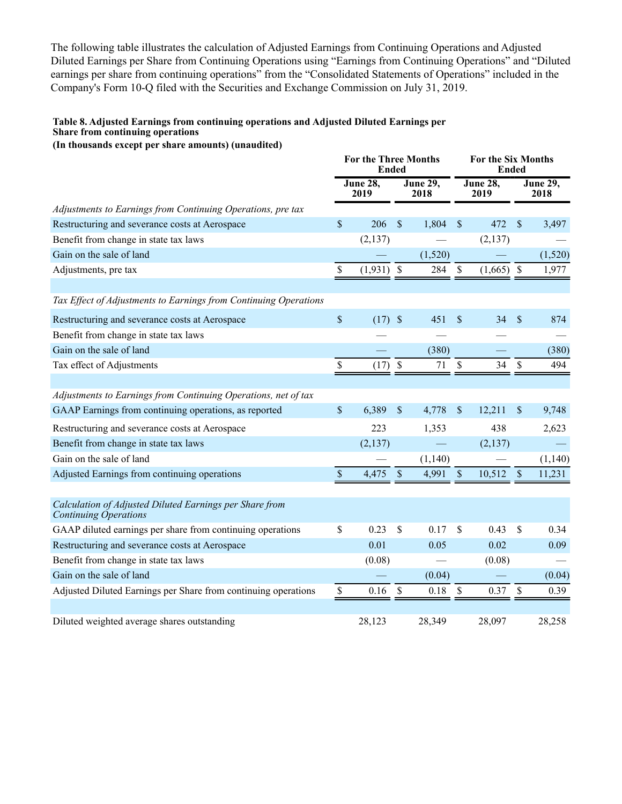The following table illustrates the calculation of Adjusted Earnings from Continuing Operations and Adjusted Diluted Earnings per Share from Continuing Operations using "Earnings from Continuing Operations" and "Diluted earnings per share from continuing operations" from the "Consolidated Statements of Operations" included in the Company's Form 10-Q filed with the Securities and Exchange Commission on July 31, 2019.

### **Table 8. Adjusted Earnings from continuing operations and Adjusted Diluted Earnings per Share from continuing operations**

**(In thousands except per share amounts) (unaudited)**

|                                                                                  | <b>For the Three Months</b><br>Ended |                  |                           |                         |                           | For the Six Months<br>Ended |                           |                         |  |
|----------------------------------------------------------------------------------|--------------------------------------|------------------|---------------------------|-------------------------|---------------------------|-----------------------------|---------------------------|-------------------------|--|
|                                                                                  |                                      | June 28,<br>2019 |                           | <b>June 29,</b><br>2018 |                           | <b>June 28,</b><br>2019     |                           | <b>June 29,</b><br>2018 |  |
| Adjustments to Earnings from Continuing Operations, pre tax                      |                                      |                  |                           |                         |                           |                             |                           |                         |  |
| Restructuring and severance costs at Aerospace                                   | $\mathbb{S}$                         | 206              | $\mathbf{\hat{S}}$        | 1,804                   | $\mathcal{S}$             | 472                         | $\mathsf{\$}$             | 3,497                   |  |
| Benefit from change in state tax laws                                            |                                      | (2, 137)         |                           |                         |                           | (2,137)                     |                           |                         |  |
| Gain on the sale of land                                                         |                                      |                  |                           | (1,520)                 |                           |                             |                           | (1,520)                 |  |
| Adjustments, pre tax                                                             | $\mathbb S$                          | $(1,931)$ \$     |                           | 284                     | $\boldsymbol{\mathsf{S}}$ | $(1,665)$ \$                |                           | 1,977                   |  |
| Tax Effect of Adjustments to Earnings from Continuing Operations                 |                                      |                  |                           |                         |                           |                             |                           |                         |  |
| Restructuring and severance costs at Aerospace                                   | $\mathsf{\$}$                        | $(17)$ \$        |                           | 451                     | $\mathcal{S}$             | 34                          | $\boldsymbol{\mathsf{S}}$ | 874                     |  |
| Benefit from change in state tax laws                                            |                                      |                  |                           |                         |                           |                             |                           |                         |  |
| Gain on the sale of land                                                         |                                      |                  |                           | (380)                   |                           |                             |                           | (380)                   |  |
| Tax effect of Adjustments                                                        | \$                                   | $(17)$ \$        |                           | 71                      | $\mathcal{S}$             | 34                          | \$                        | 494                     |  |
|                                                                                  |                                      |                  |                           |                         |                           |                             |                           |                         |  |
| Adjustments to Earnings from Continuing Operations, net of tax                   |                                      |                  |                           |                         |                           |                             |                           |                         |  |
| GAAP Earnings from continuing operations, as reported                            | \$                                   | 6,389            | $\mathbb S$               | 4,778                   | $\boldsymbol{\mathsf{S}}$ | 12,211                      | \$                        | 9,748                   |  |
| Restructuring and severance costs at Aerospace                                   |                                      | 223              |                           | 1,353                   |                           | 438                         |                           | 2,623                   |  |
| Benefit from change in state tax laws                                            |                                      | (2,137)          |                           |                         |                           | (2,137)                     |                           |                         |  |
| Gain on the sale of land                                                         |                                      |                  |                           | (1,140)                 |                           |                             |                           | (1,140)                 |  |
| Adjusted Earnings from continuing operations                                     | $\boldsymbol{\mathsf{S}}$            | 4,475            | $\boldsymbol{\mathsf{S}}$ | 4,991                   | $\mathcal{S}$             | 10,512                      | $\mathbb{S}$              | 11,231                  |  |
| Calculation of Adjusted Diluted Earnings per Share from<br>Continuing Operations |                                      |                  |                           |                         |                           |                             |                           |                         |  |
| GAAP diluted earnings per share from continuing operations                       | \$                                   | 0.23             | \$                        | 0.17                    | <sup>S</sup>              | 0.43                        | \$                        | 0.34                    |  |
| Restructuring and severance costs at Aerospace                                   |                                      | 0.01             |                           | 0.05                    |                           | 0.02                        |                           | 0.09                    |  |
| Benefit from change in state tax laws                                            |                                      | (0.08)           |                           |                         |                           | (0.08)                      |                           |                         |  |
| Gain on the sale of land                                                         |                                      |                  |                           | (0.04)                  |                           |                             |                           | (0.04)                  |  |
| Adjusted Diluted Earnings per Share from continuing operations                   | \$                                   | 0.16             | \$                        | $0.18\,$                | $\mathcal{S}$             | 0.37                        | \$                        | 0.39                    |  |
| Diluted weighted average shares outstanding                                      |                                      | 28,123           |                           | 28,349                  |                           | 28,097                      |                           | 28,258                  |  |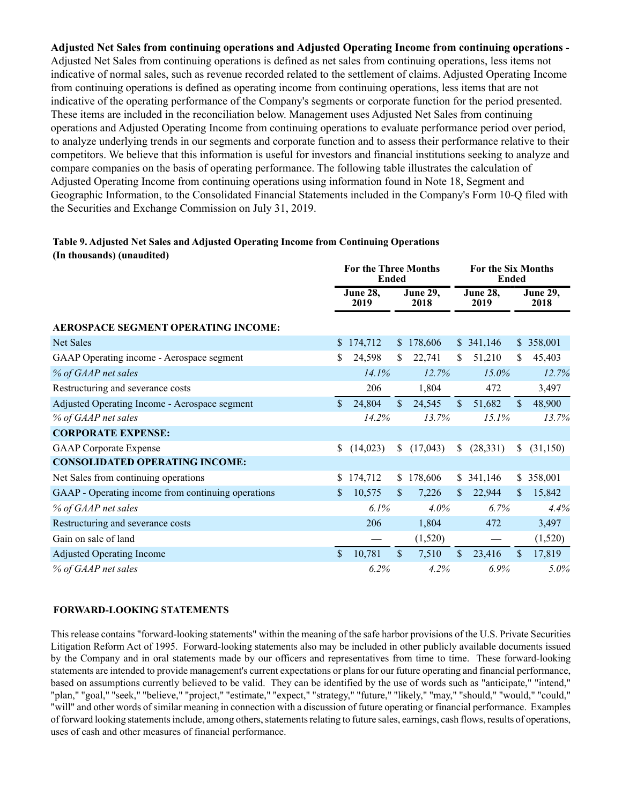**Adjusted Net Sales from continuing operations and Adjusted Operating Income from continuing operations** - Adjusted Net Sales from continuing operations is defined as net sales from continuing operations, less items not indicative of normal sales, such as revenue recorded related to the settlement of claims. Adjusted Operating Income from continuing operations is defined as operating income from continuing operations, less items that are not indicative of the operating performance of the Company's segments or corporate function for the period presented. These items are included in the reconciliation below. Management uses Adjusted Net Sales from continuing operations and Adjusted Operating Income from continuing operations to evaluate performance period over period, to analyze underlying trends in our segments and corporate function and to assess their performance relative to their competitors. We believe that this information is useful for investors and financial institutions seeking to analyze and compare companies on the basis of operating performance. The following table illustrates the calculation of Adjusted Operating Income from continuing operations using information found in Note 18, Segment and Geographic Information, to the Consolidated Financial Statements included in the Company's Form 10-Q filed with the Securities and Exchange Commission on July 31, 2019.

## **Table 9. Adjusted Net Sales and Adjusted Operating Income from Continuing Operations (In thousands) (unaudited)**

|                                                    |               | <b>For the Three Months</b><br><b>Ended</b> |                         |           | For the Six Months<br><b>Ended</b> |                                               |               |                         |
|----------------------------------------------------|---------------|---------------------------------------------|-------------------------|-----------|------------------------------------|-----------------------------------------------|---------------|-------------------------|
|                                                    |               | <b>June 28,</b><br>2019                     | <b>June 29,</b><br>2018 |           | <b>June 28,</b><br>2019            |                                               |               | <b>June 29,</b><br>2018 |
| AEROSPACE SEGMENT OPERATING INCOME:                |               |                                             |                         |           |                                    |                                               |               |                         |
| Net Sales                                          |               | \$174,712                                   |                         | \$178,606 |                                    | \$341,146                                     |               | \$ 358,001              |
| GAAP Operating income - Aerospace segment          |               | 24,598                                      | \$                      | 22,741    | <sup>S</sup>                       | 51,210                                        | S.            | 45,403                  |
| % of GAAP net sales                                |               | 14.1%                                       |                         | 12.7%     |                                    | $15.0\%$                                      |               | 12.7%                   |
| Restructuring and severance costs                  |               | 206                                         |                         | 1,804     |                                    | 472                                           |               | 3,497                   |
| Adjusted Operating Income - Aerospace segment      | \$.           | 24,804                                      | $\mathbb{S}$            | 24,545    | $\mathbb{S}$                       | 51,682                                        | <sup>\$</sup> | 48,900                  |
| % of GAAP net sales                                |               | 14.2%                                       |                         | 13.7%     |                                    | 15.1%                                         |               | 13.7%                   |
| <b>CORPORATE EXPENSE:</b>                          |               |                                             |                         |           |                                    |                                               |               |                         |
| <b>GAAP</b> Corporate Expense                      | \$            | (14, 023)                                   | S.                      | (17,043)  | <sup>S</sup>                       | (28, 331)                                     | S.            | (31, 150)               |
| <b>CONSOLIDATED OPERATING INCOME:</b>              |               |                                             |                         |           |                                    |                                               |               |                         |
| Net Sales from continuing operations               | S.            | 174,712                                     | $\mathbb{S}^-$          | 178,606   |                                    | \$341,146                                     | \$.           | 358,001                 |
| GAAP - Operating income from continuing operations | \$            | 10,575                                      | \$                      | 7,226     | $\mathbf{\$}$                      | 22,944                                        | \$.           | 15,842                  |
| % of GAAP net sales                                |               | 6.1%                                        |                         | 4.0%      |                                    | 6.7%                                          |               | 4.4%                    |
| Restructuring and severance costs                  |               | 206                                         |                         | 1,804     |                                    | 472                                           |               | 3,497                   |
| Gain on sale of land                               |               |                                             |                         | (1,520)   |                                    | $\qquad \qquad \overbrace{\qquad \qquad }^{}$ |               | (1,520)                 |
| <b>Adjusted Operating Income</b>                   | $\mathsf{\$}$ | 10,781                                      | $\mathsf{\$}$           | 7,510     | $\mathcal{S}$                      | 23,416                                        | $\mathcal{S}$ | 17,819                  |
| % of GAAP net sales                                |               | 6.2%                                        |                         | 4.2%      |                                    | 6.9%                                          |               | 5.0%                    |

## **FORWARD-LOOKING STATEMENTS**

This release contains "forward-looking statements" within the meaning of the safe harbor provisions of the U.S. Private Securities Litigation Reform Act of 1995. Forward-looking statements also may be included in other publicly available documents issued by the Company and in oral statements made by our officers and representatives from time to time. These forward-looking statements are intended to provide management's current expectations or plans for our future operating and financial performance, based on assumptions currently believed to be valid. They can be identified by the use of words such as "anticipate," "intend," "plan," "goal," "seek," "believe," "project," "estimate," "expect," "strategy," "future," "likely," "may," "should," "would," "could," "will" and other words of similar meaning in connection with a discussion of future operating or financial performance. Examples of forward looking statements include, among others, statements relating to future sales, earnings, cash flows, results of operations, uses of cash and other measures of financial performance.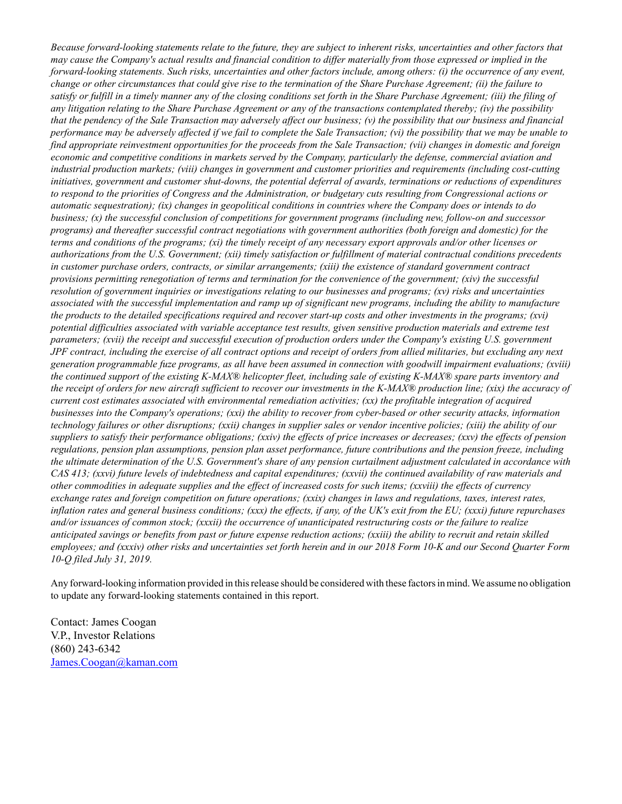*Because forward-looking statements relate to the future, they are subject to inherent risks, uncertainties and other factors that may cause the Company's actual results and financial condition to differ materially from those expressed or implied in the forward-looking statements. Such risks, uncertainties and other factors include, among others: (i) the occurrence of any event, change or other circumstances that could give rise to the termination of the Share Purchase Agreement; (ii) the failure to satisfy or fulfill in a timely manner any of the closing conditions set forth in the Share Purchase Agreement; (iii) the filing of any litigation relating to the Share Purchase Agreement or any of the transactions contemplated thereby; (iv) the possibility that the pendency of the Sale Transaction may adversely affect our business; (v) the possibility that our business and financial performance may be adversely affected if we fail to complete the Sale Transaction; (vi) the possibility that we may be unable to find appropriate reinvestment opportunities for the proceeds from the Sale Transaction; (vii) changes in domestic and foreign economic and competitive conditions in markets served by the Company, particularly the defense, commercial aviation and industrial production markets; (viii) changes in government and customer priorities and requirements (including cost-cutting initiatives, government and customer shut-downs, the potential deferral of awards, terminations or reductions of expenditures to respond to the priorities of Congress and the Administration, or budgetary cuts resulting from Congressional actions or automatic sequestration); (ix) changes in geopolitical conditions in countries where the Company does or intends to do business; (x) the successful conclusion of competitions for government programs (including new, follow-on and successor programs) and thereafter successful contract negotiations with government authorities (both foreign and domestic) for the terms and conditions of the programs; (xi) the timely receipt of any necessary export approvals and/or other licenses or authorizations from the U.S. Government; (xii) timely satisfaction or fulfillment of material contractual conditions precedents in customer purchase orders, contracts, or similar arrangements; (xiii) the existence of standard government contract provisions permitting renegotiation of terms and termination for the convenience of the government; (xiv) the successful resolution of government inquiries or investigations relating to our businesses and programs; (xv) risks and uncertainties associated with the successful implementation and ramp up of significant new programs, including the ability to manufacture the products to the detailed specifications required and recover start-up costs and other investments in the programs; (xvi) potential difficulties associated with variable acceptance test results, given sensitive production materials and extreme test parameters; (xvii) the receipt and successful execution of production orders under the Company's existing U.S. government JPF contract, including the exercise of all contract options and receipt of orders from allied militaries, but excluding any next generation programmable fuze programs, as all have been assumed in connection with goodwill impairment evaluations; (xviii) the continued support of the existing K-MAX® helicopter fleet, including sale of existing K-MAX® spare parts inventory and the receipt of orders for new aircraft sufficient to recover our investments in the K-MAX® production line; (xix) the accuracy of current cost estimates associated with environmental remediation activities; (xx) the profitable integration of acquired businesses into the Company's operations; (xxi) the ability to recover from cyber-based or other security attacks, information technology failures or other disruptions; (xxii) changes in supplier sales or vendor incentive policies; (xiii) the ability of our suppliers to satisfy their performance obligations; (xxiv) the effects of price increases or decreases; (xxv) the effects of pension regulations, pension plan assumptions, pension plan asset performance, future contributions and the pension freeze, including the ultimate determination of the U.S. Government's share of any pension curtailment adjustment calculated in accordance with CAS 413; (xxvi) future levels of indebtedness and capital expenditures; (xxvii) the continued availability of raw materials and other commodities in adequate supplies and the effect of increased costs for such items; (xxviii) the effects of currency exchange rates and foreign competition on future operations; (xxix) changes in laws and regulations, taxes, interest rates, inflation rates and general business conditions; (xxx) the effects, if any, of the UK's exit from the EU; (xxxi) future repurchases and/or issuances of common stock; (xxxii) the occurrence of unanticipated restructuring costs or the failure to realize anticipated savings or benefits from past or future expense reduction actions; (xxiii) the ability to recruit and retain skilled employees; and (xxxiv) other risks and uncertainties set forth herein and in our 2018 Form 10-K and our Second Quarter Form 10-Q filed July 31, 2019.*

Any forward-looking information provided in this release should be considered with these factors in mind. We assume no obligation to update any forward-looking statements contained in this report.

Contact: James Coogan V.P., Investor Relations (860) 243-6342 James.Coogan@kaman.com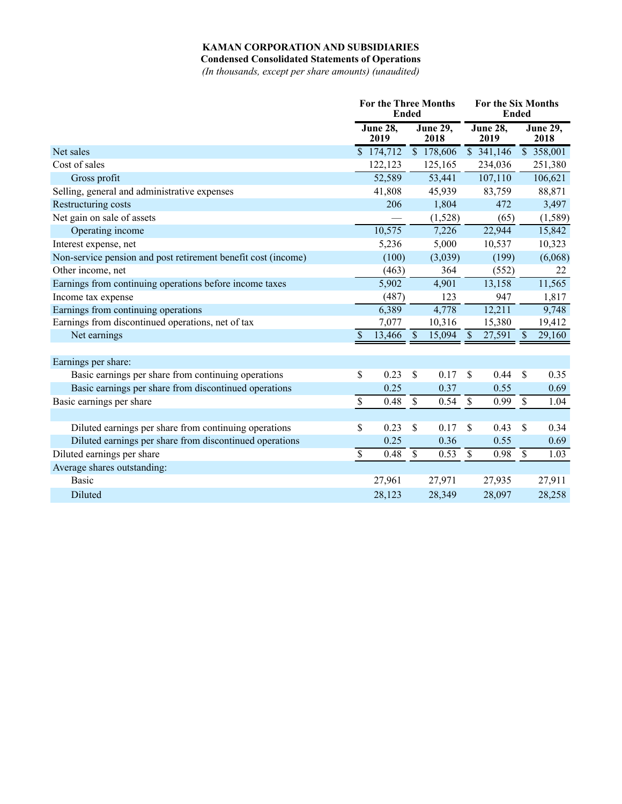**Condensed Consolidated Statements of Operations**

*(In thousands, except per share amounts) (unaudited)*

|                                                               | <b>For the Three Months</b><br><b>Ended</b> |                         |             |                         |               | <b>For the Six Months</b><br>Ended |               |                         |  |
|---------------------------------------------------------------|---------------------------------------------|-------------------------|-------------|-------------------------|---------------|------------------------------------|---------------|-------------------------|--|
|                                                               |                                             | <b>June 28,</b><br>2019 |             | <b>June 29,</b><br>2018 |               | <b>June 28,</b><br>2019            |               | <b>June 29,</b><br>2018 |  |
| Net sales                                                     |                                             | \$174,712               |             | $\overline{)178,606}$   |               | \$341,146                          |               | $\overline{358,001}$    |  |
| Cost of sales                                                 |                                             | 122,123                 |             | 125,165                 |               | 234,036                            |               | 251,380                 |  |
| Gross profit                                                  |                                             | 52,589                  |             | 53,441                  |               | 107,110                            |               | 106,621                 |  |
| Selling, general and administrative expenses                  |                                             | 41,808                  |             | 45,939                  |               | 83,759                             |               | 88,871                  |  |
| Restructuring costs                                           |                                             | 206                     |             | 1,804                   |               | 472                                |               | 3,497                   |  |
| Net gain on sale of assets                                    |                                             |                         |             | (1,528)                 |               | (65)                               |               | (1, 589)                |  |
| Operating income                                              |                                             | 10,575                  |             | 7,226                   |               | 22,944                             |               | 15,842                  |  |
| Interest expense, net                                         |                                             | 5,236                   |             | 5,000                   |               | 10,537                             |               | 10,323                  |  |
| Non-service pension and post retirement benefit cost (income) |                                             | (100)                   |             | (3,039)                 |               | (199)                              |               | (6,068)                 |  |
| Other income, net                                             |                                             | (463)                   |             | 364                     |               | (552)                              |               | 22                      |  |
| Earnings from continuing operations before income taxes       |                                             | 5,902                   |             | 4,901                   |               | 13,158                             |               | 11,565                  |  |
| Income tax expense                                            |                                             | (487)                   |             | 123                     |               | 947                                |               | 1,817                   |  |
| Earnings from continuing operations                           |                                             | 6,389                   |             | 4,778                   |               | 12,211                             |               | 9,748                   |  |
| Earnings from discontinued operations, net of tax             |                                             | 7,077                   |             | 10,316                  |               | 15,380                             |               | 19,412                  |  |
| Net earnings                                                  | $\mathcal{S}$                               | 13,466                  | $\sqrt{3}$  | 15,094                  | \$            | 27,591                             | $\mathcal{S}$ | 29,160                  |  |
| Earnings per share:                                           |                                             |                         |             |                         |               |                                    |               |                         |  |
| Basic earnings per share from continuing operations           | \$                                          | 0.23                    | \$          | 0.17                    | \$            | 0.44                               | \$            | 0.35                    |  |
| Basic earnings per share from discontinued operations         |                                             | 0.25                    |             | 0.37                    |               | 0.55                               |               | 0.69                    |  |
| Basic earnings per share                                      | $\overline{\mathcal{S}}$                    | 0.48                    | \$          | 0.54                    | \$            | 0.99                               | $\mathbb{S}$  | 1.04                    |  |
|                                                               |                                             |                         |             |                         |               |                                    |               |                         |  |
| Diluted earnings per share from continuing operations         | \$                                          | 0.23                    | \$          | 0.17                    | \$            | 0.43                               | \$            | 0.34                    |  |
| Diluted earnings per share from discontinued operations       |                                             | 0.25                    |             | 0.36                    |               | 0.55                               |               | 0.69                    |  |
| Diluted earnings per share                                    | $\overline{\mathcal{S}}$                    | 0.48                    | $\mathbb S$ | 0.53                    | $\mathcal{S}$ | 0.98                               | $\mathbb{S}$  | 1.03                    |  |
| Average shares outstanding:                                   |                                             |                         |             |                         |               |                                    |               |                         |  |
| <b>Basic</b>                                                  |                                             | 27,961                  |             | 27,971                  |               | 27,935                             |               | 27,911                  |  |
| Diluted                                                       |                                             | 28,123                  |             | 28,349                  |               | 28,097                             |               | 28,258                  |  |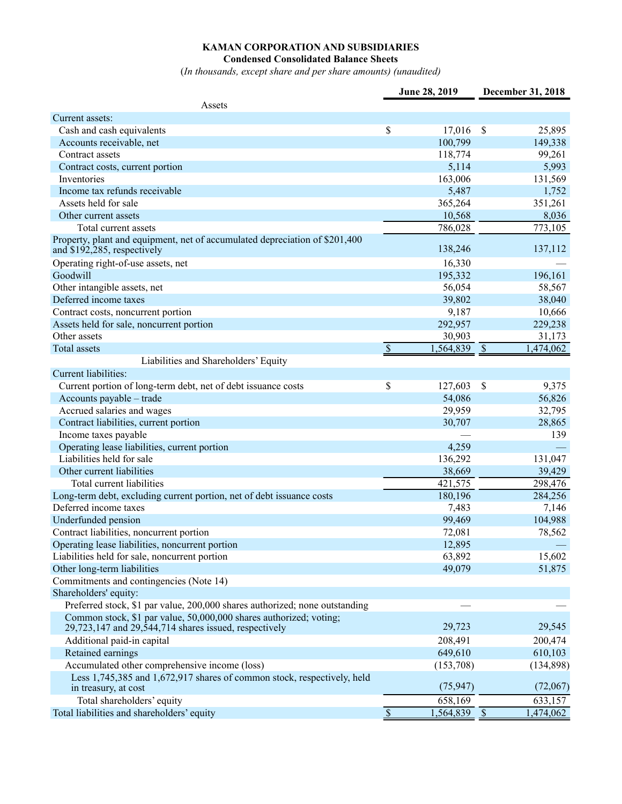**Condensed Consolidated Balance Sheets**

(*In thousands, except share and per share amounts) (unaudited)*

|                                                                                                                                 |                           | June 28, 2019 |                      | December 31, 2018 |
|---------------------------------------------------------------------------------------------------------------------------------|---------------------------|---------------|----------------------|-------------------|
| Assets                                                                                                                          |                           |               |                      |                   |
| Current assets:                                                                                                                 |                           |               |                      |                   |
| Cash and cash equivalents                                                                                                       | \$                        | 17,016        | \$                   | 25,895            |
| Accounts receivable, net                                                                                                        |                           | 100,799       |                      | 149,338           |
| Contract assets                                                                                                                 |                           | 118,774       |                      | 99,261            |
| Contract costs, current portion                                                                                                 |                           | 5,114         |                      | 5,993             |
| Inventories                                                                                                                     |                           | 163,006       |                      | 131,569           |
| Income tax refunds receivable                                                                                                   |                           | 5,487         |                      | 1,752             |
| Assets held for sale                                                                                                            |                           | 365,264       |                      | 351,261           |
| Other current assets                                                                                                            |                           | 10,568        |                      | 8,036             |
| Total current assets                                                                                                            |                           | 786,028       |                      | 773,105           |
| Property, plant and equipment, net of accumulated depreciation of \$201,400<br>and \$192,285, respectively                      |                           | 138,246       |                      | 137,112           |
| Operating right-of-use assets, net                                                                                              |                           | 16,330        |                      |                   |
| Goodwill                                                                                                                        |                           | 195,332       |                      | 196,161           |
| Other intangible assets, net                                                                                                    |                           | 56,054        |                      | 58,567            |
| Deferred income taxes                                                                                                           |                           | 39,802        |                      | 38,040            |
| Contract costs, noncurrent portion                                                                                              |                           | 9,187         |                      | 10,666            |
| Assets held for sale, noncurrent portion                                                                                        |                           | 292,957       |                      | 229,238           |
| Other assets                                                                                                                    |                           | 30,903        |                      | 31,173            |
| Total assets                                                                                                                    | $\boldsymbol{\mathsf{S}}$ | 1,564,839     | $\sqrt{\frac{1}{2}}$ | 1,474,062         |
| Liabilities and Shareholders' Equity                                                                                            |                           |               |                      |                   |
| Current liabilities:                                                                                                            |                           |               |                      |                   |
| Current portion of long-term debt, net of debt issuance costs                                                                   | \$                        | 127,603       | \$                   | 9,375             |
| Accounts payable - trade                                                                                                        |                           | 54,086        |                      | 56,826            |
| Accrued salaries and wages                                                                                                      |                           | 29,959        |                      | 32,795            |
| Contract liabilities, current portion                                                                                           |                           | 30,707        |                      | 28,865            |
| Income taxes payable                                                                                                            |                           |               |                      | 139               |
| Operating lease liabilities, current portion                                                                                    |                           | 4,259         |                      |                   |
| Liabilities held for sale                                                                                                       |                           | 136,292       |                      | 131,047           |
| Other current liabilities                                                                                                       |                           | 38,669        |                      | 39,429            |
| Total current liabilities                                                                                                       |                           | 421,575       |                      | 298,476           |
| Long-term debt, excluding current portion, net of debt issuance costs                                                           |                           | 180,196       |                      | 284,256           |
| Deferred income taxes                                                                                                           |                           | 7,483         |                      | 7,146             |
| Underfunded pension                                                                                                             |                           | 99,469        |                      | 104,988           |
| Contract liabilities, noncurrent portion                                                                                        |                           | 72,081        |                      | 78,562            |
| Operating lease liabilities, noncurrent portion                                                                                 |                           | 12,895        |                      |                   |
| Liabilities held for sale, noncurrent portion                                                                                   |                           | 63,892        |                      | 15,602            |
| Other long-term liabilities                                                                                                     |                           | 49,079        |                      | 51,875            |
| Commitments and contingencies (Note 14)                                                                                         |                           |               |                      |                   |
| Shareholders' equity:                                                                                                           |                           |               |                      |                   |
| Preferred stock, \$1 par value, 200,000 shares authorized; none outstanding                                                     |                           |               |                      |                   |
| Common stock, \$1 par value, 50,000,000 shares authorized; voting;<br>$29,723,147$ and $29,544,714$ shares issued, respectively |                           | 29,723        |                      | 29,545            |
| Additional paid-in capital                                                                                                      |                           | 208,491       |                      | 200,474           |
| Retained earnings                                                                                                               |                           | 649,610       |                      | 610,103           |
| Accumulated other comprehensive income (loss)                                                                                   |                           | (153,708)     |                      | (134, 898)        |
| Less 1,745,385 and 1,672,917 shares of common stock, respectively, held<br>in treasury, at cost                                 |                           | (75, 947)     |                      | (72,067)          |
| Total shareholders' equity                                                                                                      |                           | 658,169       |                      | 633,157           |
| Total liabilities and shareholders' equity                                                                                      |                           | 1,564,839     | $\sqrt{\frac{1}{2}}$ | 1,474,062         |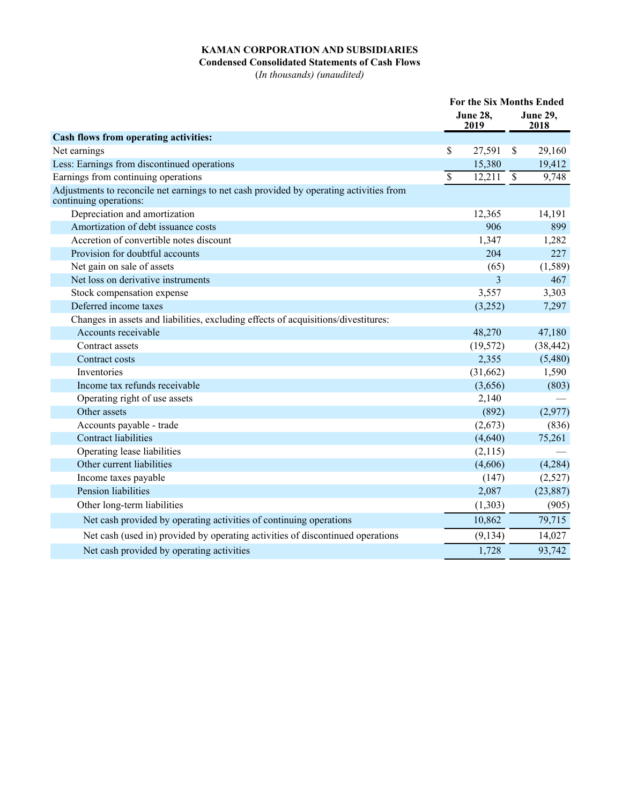## **Condensed Consolidated Statements of Cash Flows**

(*In thousands) (unaudited)*

|                                                                                                                   |                          |                         |                          | <b>For the Six Months Ended</b> |  |  |
|-------------------------------------------------------------------------------------------------------------------|--------------------------|-------------------------|--------------------------|---------------------------------|--|--|
|                                                                                                                   |                          | <b>June 28,</b><br>2019 |                          | <b>June 29,</b><br>2018         |  |  |
| Cash flows from operating activities:                                                                             |                          |                         |                          |                                 |  |  |
| Net earnings                                                                                                      | \$                       | 27,591                  | $\mathbb{S}$             | 29,160                          |  |  |
| Less: Earnings from discontinued operations                                                                       |                          | 15,380                  |                          | 19,412                          |  |  |
| Earnings from continuing operations                                                                               | $\overline{\mathcal{S}}$ | 12,211                  | $\overline{\mathcal{S}}$ | 9,748                           |  |  |
| Adjustments to reconcile net earnings to net cash provided by operating activities from<br>continuing operations: |                          |                         |                          |                                 |  |  |
| Depreciation and amortization                                                                                     |                          | 12,365                  |                          | 14,191                          |  |  |
| Amortization of debt issuance costs                                                                               |                          | 906                     |                          | 899                             |  |  |
| Accretion of convertible notes discount                                                                           |                          | 1,347                   |                          | 1,282                           |  |  |
| Provision for doubtful accounts                                                                                   |                          | 204                     |                          | 227                             |  |  |
| Net gain on sale of assets                                                                                        |                          | (65)                    |                          | (1, 589)                        |  |  |
| Net loss on derivative instruments                                                                                |                          | 3                       |                          | 467                             |  |  |
| Stock compensation expense                                                                                        |                          | 3,557                   |                          | 3,303                           |  |  |
| Deferred income taxes                                                                                             |                          | (3,252)                 |                          | 7,297                           |  |  |
| Changes in assets and liabilities, excluding effects of acquisitions/divestitures:                                |                          |                         |                          |                                 |  |  |
| Accounts receivable                                                                                               |                          | 48,270                  |                          | 47,180                          |  |  |
| Contract assets                                                                                                   |                          | (19, 572)               |                          | (38, 442)                       |  |  |
| Contract costs                                                                                                    |                          | 2,355                   |                          | (5,480)                         |  |  |
| Inventories                                                                                                       |                          | (31,662)                |                          | 1,590                           |  |  |
| Income tax refunds receivable                                                                                     |                          | (3,656)                 |                          | (803)                           |  |  |
| Operating right of use assets                                                                                     |                          | 2,140                   |                          |                                 |  |  |
| Other assets                                                                                                      |                          | (892)                   |                          | (2,977)                         |  |  |
| Accounts payable - trade                                                                                          |                          | (2,673)                 |                          | (836)                           |  |  |
| <b>Contract liabilities</b>                                                                                       |                          | (4,640)                 |                          | 75,261                          |  |  |
| Operating lease liabilities                                                                                       |                          | (2,115)                 |                          |                                 |  |  |
| Other current liabilities                                                                                         |                          | (4,606)                 |                          | (4,284)                         |  |  |
| Income taxes payable                                                                                              |                          | (147)                   |                          | (2,527)                         |  |  |
| Pension liabilities                                                                                               |                          | 2,087                   |                          | (23, 887)                       |  |  |
| Other long-term liabilities                                                                                       |                          | (1,303)                 |                          | (905)                           |  |  |
| Net cash provided by operating activities of continuing operations                                                |                          | 10,862                  |                          | 79,715                          |  |  |
| Net cash (used in) provided by operating activities of discontinued operations                                    |                          | (9, 134)                |                          | 14,027                          |  |  |
| Net cash provided by operating activities                                                                         |                          | 1,728                   |                          | 93,742                          |  |  |